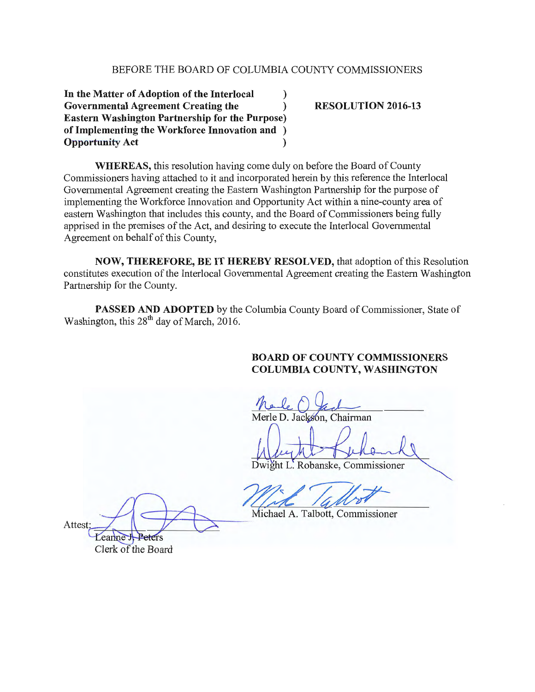## BEFORE THE BOARD OF COLUMBIA COUNTY COMMISSIONERS

**In the Matter of Adoption of the Interlocal** ) **Governmental Agreement Creating the** ) **Eastern Washington Partnership for the Purpose) of Implementing the Workforce Innovation and** ) **Opportunity Act** )

**RESOLUTION 2016-13** 

**WHEREAS,** this resolution having come duly on before the Board of County Commissioners having attached to it and incorporated herein by this reference the Interlocal Governmental Agreement creating the Eastern Washington Partnership for the purpose of implementing the Workforce Innovation and Opportunity Act within a nine-county area of eastern Washington that includes this county, and the Board of Commissioners being fully apprised in the premises of the Act, and desiring to execute the Interlocal Governmental Agreement on behalf of this County,

**NOW, THEREFORE, BE IT HEREBY RESOLVED,** that adoption of this Resolution constitutes execution of the Interlocal Governmental Agreement creating the Eastern Washington Partnership for the County.

**PASSED AND ADOPTED** by the Columbia County Board of Commissioner, State of Washington, this  $28<sup>th</sup>$  day of March, 2016.

## **BOARD OF COUNTY COMMISSIONERS COLUMBIA COUNTY, WASHINGTON**

Merle D. Jackson, Chairman

Dwight L. Robanske, Commissioner

Attest:<br>Leanne H. Peters

Clerk of the Board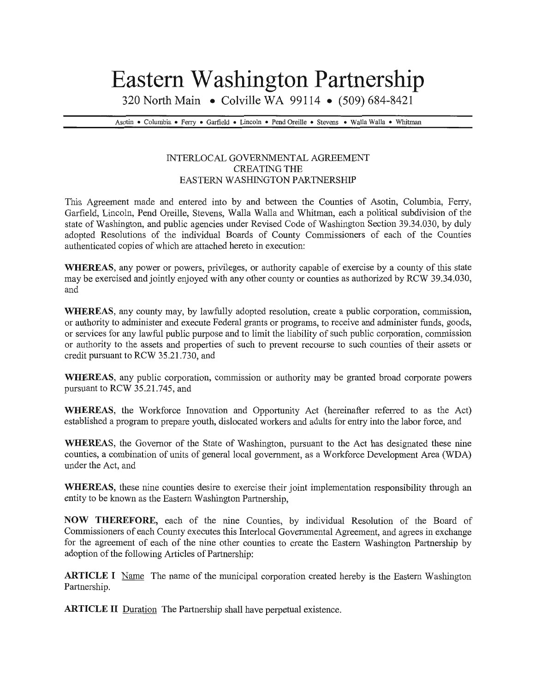## **Eastern Washington Partnership**

320 North Main • Colville WA 99114 • (509) 684-8421

Asotin • Columbia • Ferry • Garfield • Lincoln • Pend Oreille • Stevens • Walla Walla • Whitman

## INTERLOCAL GOVERNMENTAL AGREEMENT CREATING THE EASTERN WASHINGTON PARTNERSHIP

This Agreement made and entered into by and between the Counties of Asotin, Columbia, Ferry, Garfield, Lincoln, Pend Oreille, Stevens, Walla Walla and Whitman, each a political subdivision of the state of Washington, and public agencies under Revised Code of Washington Section 39.34.030, by duly adopted Resolutions of the individual Boards of County Commissioners of each of the Counties authenticated copies of which are attached hereto in execution:

WHEREAS, any power or powers, privileges, or authority capable of exercise by a county of this state may be exercised and jointly enjoyed with any other county or counties as authorized by RCW 39.34.030, and

WHEREAS, any county may, by lawfully adopted resolution, create a public corporation, commission, or authority to administer and execute Federal grants or programs, to receive and administer funds, goods, or services for any lawful public purpose and to limit the liability of such public corporation, commission or authority to the assets and properties of such to prevent recourse to such counties of their assets or credit pursuant to RCW 35.21.730, and

WHEREAS, any public corporation, commission or authority may be granted broad corporate powers pursuant to RCW 35.21.745, and

WHEREAS, the Workforce Innovation and Opportunity Act (hereinafter referred to as the Act) established a program to prepare youth, dislocated workers and adults for entry into the labor force, and

WHEREAS, the Governor of the State of Washington, pursuant to the Act has designated these nine counties, a combination of units of general local government, as a Workforce Development Area (WDA) under the Act, and

WHEREAS, these nine counties desire to exercise their joint implementation responsibility through an entity to be known as the Eastern Washington Partnership,

NOW THEREFORE, each of the nine Counties, by individual Resolution of the Board of Commissioners of each County executes this Interlocal Governmental Agreement, and agrees in exchange for the agreement of each of the nine other counties to create the Eastern Washington Partnership by adoption of the following Articles of Partnership:

**ARTICLE I** Name The name of the municipal corporation created hereby is the Eastern Washington Partnership.

ARTICLE II Duration The Partnership shall have perpetual existence.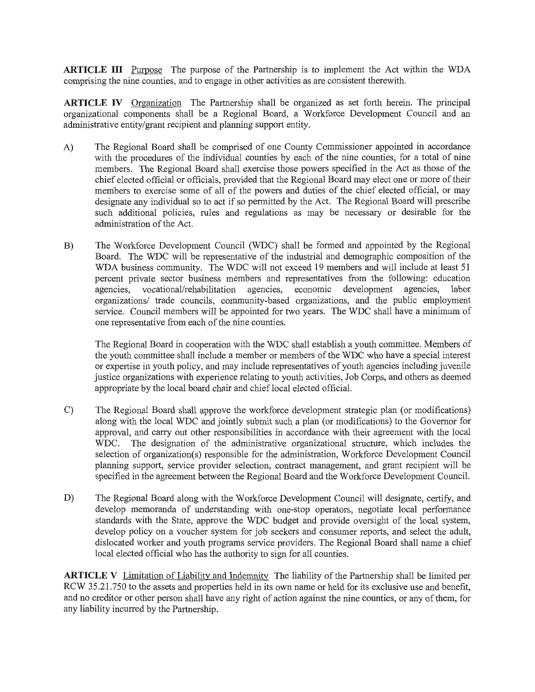**ARTICLE** III Purpose The purpose of the Partnership is to implement the Act within the WDA comprising the nine counties, and to engage in other activities as are consistent therewith.

**ARTICLE** IV Organization The Partnership shall be organized as set forth herein. The principal organizational components shall be a Regional Board, a Workforce Development Council and an administrative entity/grant recipient and planning support entity.

- A) The Regional Board shall be comprised of one County Commissioner appointed in accordance with the procedures of the individual counties by each of the nine counties, for a total of nine members. The Regional Board shall exercise those powers specified in the Act as those of the chief elected official or officials, provided that the Regional Board may elect one or more of their members to exercise some of all of the powers and duties of the chief elected official, or may designate any individual so to act if so permitted by the Act. The Regional Board will prescribe such additional policies, rules and regulations as may be necessary or desirable for the administration of the Act.
- B) The Workforce Development Council (WDC) shall be formed and appointed by the Regional Board. The WDC will be representative of the industrial and demographic composition of the WDA business community. The WDC will not exceed 19 members and will include at least 51 percent private sector business members and representatives from the following: education agencies, vocational/rehabilitation agencies, economic development agencies, labor organizations/ trade councils, community-based organizations, and the public employment service. Council members will be appointed for two years. The WDC shall have a minimum of one representative from each of the nine counties.

The Regional Board in cooperation with the WDC shall establish a youth committee. Members of the youth committee shall include a member or members of the WDC who have a special interest or expertise in youth policy, and may include representatives of youth agencies including juvenile justice organizations with experience relating to youth activities, Job Corps, and others as deemed appropriate by the local board chair and chief local elected official.

- C) The Regional Board shall approve the workforce development strategic plan (or modifications) along with the local WDC and jointly submit such a plan (or modifications) to the Governor for approval, and carry out other responsibilities in accordance with their agreement with the local WDC. The designation of the administrative organizational structure, which includes the selection of organization(s) responsible for the administration, Workforce Development Council planning support, service provider selection, contract management, and grant recipient will be specified in the agreement between the Regional Board and the Workforce Development Council.
- D) The Regional Board along with the Workforce Development Council will designate, certify, and develop memoranda of understanding with one-stop operators, negotiate local performance standards with the State, approve the WDC budget and provide oversight of the local system, develop policy on a voucher system for job seekers and consumer reports, and select the adult, dislocated worker and youth programs service providers. The Regional Board shall name a chief local elected official who has the authority to sign for all counties.

**ARTICLE** V Limitation of Liability and Indemnity The liability of the Partnership shall be limited per RCW 35.21.750 to the assets and properties held in its own name or held for its exclusive use and benefit, and no creditor or other person shall have any right of action against the nine counties, or any of them, for any liability incurred by the Partnership.